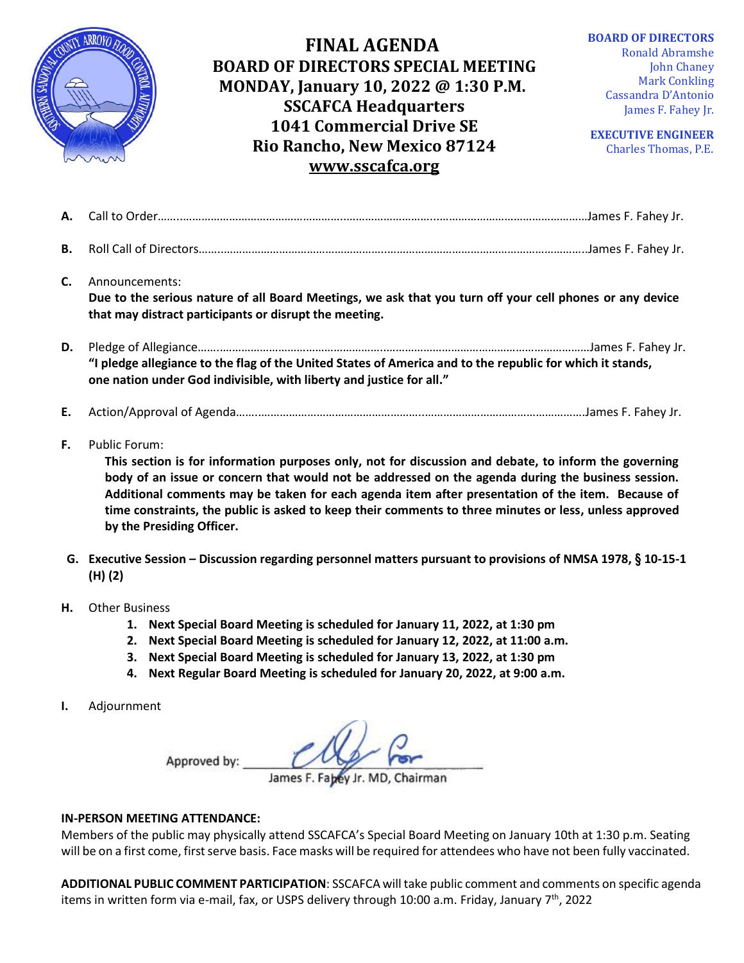

## **FINAL AGENDA BOARD OF DIRECTORS SPECIAL MEETING MONDAY, January 10, 2022 @ 1:30 P.M. SSCAFCA Headquarters 1041 Commercial Drive SE Rio Rancho, New Mexico 87124 [www.sscafca.org](http://www.sscafca.org/)**

**BOARD OF DIRECTORS**

Ronald Abramshe John Chaney Mark Conkling Cassandra D'Antonio James F. Fahey Jr.

**EXECUTIVE ENGINEER** Charles Thomas, P.E*.*

| В. |                                                                                                                                                                                                                                                                                                                                                                                                                                                                                |
|----|--------------------------------------------------------------------------------------------------------------------------------------------------------------------------------------------------------------------------------------------------------------------------------------------------------------------------------------------------------------------------------------------------------------------------------------------------------------------------------|
| C. | Announcements:<br>Due to the serious nature of all Board Meetings, we ask that you turn off your cell phones or any device<br>that may distract participants or disrupt the meeting.                                                                                                                                                                                                                                                                                           |
| D. | "I pledge allegiance to the flag of the United States of America and to the republic for which it stands,<br>one nation under God indivisible, with liberty and justice for all."                                                                                                                                                                                                                                                                                              |
| E. |                                                                                                                                                                                                                                                                                                                                                                                                                                                                                |
| F. | <b>Public Forum:</b><br>This section is for information purposes only, not for discussion and debate, to inform the governing<br>body of an issue or concern that would not be addressed on the agenda during the business session.<br>Additional comments may be taken for each agenda item after presentation of the item. Because of<br>time constraints, the public is asked to keep their comments to three minutes or less, unless approved<br>by the Presiding Officer. |

- **G. Executive Session – Discussion regarding personnel matters pursuant to provisions of NMSA 1978, § 10-15-1 (H) (2)**
- **H.** Other Business
	- **1. Next Special Board Meeting is scheduled for January 11, 2022, at 1:30 pm**
	- **2. Next Special Board Meeting is scheduled for January 12, 2022, at 11:00 a.m.**
	- **3. Next Special Board Meeting is scheduled for January 13, 2022, at 1:30 pm**
	- **4. Next Regular Board Meeting is scheduled for January 20, 2022, at 9:00 a.m.**
- **I.** Adjournment

Approved by:

## **IN-PERSON MEETING ATTENDANCE:**

Members of the public may physically attend SSCAFCA's Special Board Meeting on January 10th at 1:30 p.m. Seating will be on a first come, first serve basis. Face masks will be required for attendees who have not been fully vaccinated.

**ADDITIONAL PUBLIC COMMENT PARTICIPATION**: SSCAFCA will take public comment and comments on specific agenda items in written form via e-mail, fax, or USPS delivery through 10:00 a.m. Friday, January  $7<sup>th</sup>$ , 2022